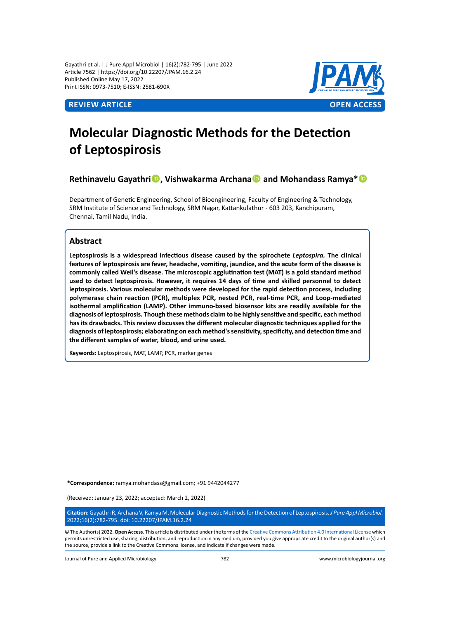Gayathri et al. | J Pure Appl Microbiol | 16(2):782-795 | June 2022 Article 7562 | https://doi.org/10.22207/JPAM.16.2.24 Published Online May 17, 2022 Print ISSN: 0973-7510; E-ISSN: 2581-690X



# **Molecular Diagnostic Methods for the Detection of Leptospirosis**

**Rethinavelu Gayathri, Vishwakarma Archana and Mohandass Ramya\***

Department of Genetic Engineering, School of Bioengineering, Faculty of Engineering & Technology, SRM Institute of Science and Technology, SRM Nagar, Kattankulathur - 603 203, Kanchipuram, Chennai, Tamil Nadu, India.

# **Abstract**

**Leptospirosis is a widespread infectious disease caused by the spirochete** *Leptospira.* **The clinical features of leptospirosis are fever, headache, vomiting, jaundice, and the acute form of the disease is commonly called Weil's disease. The microscopic agglutination test (MAT) is a gold standard method used to detect leptospirosis. However, it requires 14 days of time and skilled personnel to detect leptospirosis. Various molecular methods were developed for the rapid detection process, including polymerase chain reaction (PCR), multiplex PCR, nested PCR, real-time PCR, and Loop-mediated isothermal amplification (LAMP). Other immuno-based biosensor kits are readily available for the diagnosis of leptospirosis. Though these methods claim to be highly sensitive and specific, each method has its drawbacks. This review discusses the different molecular diagnostic techniques applied for the diagnosis of leptospirosis; elaborating on each method's sensitivity, specificity, and detection time and the different samples of water, blood, and urine used.** 

**Keywords:** Leptospirosis, MAT, LAMP, PCR, marker genes

**\*Correspondence:** ramya.mohandass@gmail.com; +91 9442044277

(Received: January 23, 2022; accepted: March 2, 2022)

**Citation:** Gayathri R, Archana V, Ramya M. Molecular Diagnostic Methods for the Detection of Leptospirosis. *J Pure Appl Microbiol.*  2022;16(2):782-795. doi: 10.22207/JPAM.16.2.24

© The Author(s) 2022. **Open Access**. This article is distributed under the terms of the [Creative Commons Attribution 4.0 International License](https://creativecommons.org/licenses/by/4.0/) which permits unrestricted use, sharing, distribution, and reproduction in any medium, provided you give appropriate credit to the original author(s) and the source, provide a link to the Creative Commons license, and indicate if changes were made.

Journal of Pure and Applied Microbiology 782 www.microbiologyjournal.org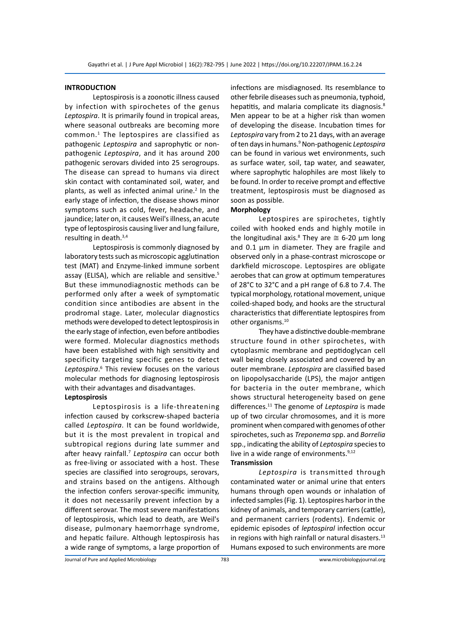# **INTRODUCTION**

Leptospirosis is a zoonotic illness caused by infection with spirochetes of the genus *Leptospira*. It is primarily found in tropical areas, where seasonal outbreaks are becoming more common.1 The leptospires are classified as pathogenic *Leptospira* and saprophytic or nonpathogenic *Leptospira*, and it has around 200 pathogenic serovars divided into 25 serogroups. The disease can spread to humans via direct skin contact with contaminated soil, water, and plants, as well as infected animal urine.<sup>2</sup> In the early stage of infection, the disease shows minor symptoms such as cold, fever, headache, and jaundice; later on, it causes Weil's illness, an acute type of leptospirosis causing liver and lung failure, resulting in death.3,4

Leptospirosis is commonly diagnosed by laboratory tests such as microscopic agglutination test (MAT) and Enzyme-linked immune sorbent assay (ELISA), which are reliable and sensitive.<sup>5</sup> But these immunodiagnostic methods can be performed only after a week of symptomatic condition since antibodies are absent in the prodromal stage. Later, molecular diagnostics methods were developed to detect leptospirosis in the early stage of infection, even before antibodies were formed. Molecular diagnostics methods have been established with high sensitivity and specificity targeting specific genes to detect Leptospira.<sup>6</sup> This review focuses on the various molecular methods for diagnosing leptospirosis with their advantages and disadvantages.

#### **Leptospirosis**

Leptospirosis is a life-threatening infection caused by corkscrew-shaped bacteria called *Leptospira*. It can be found worldwide, but it is the most prevalent in tropical and subtropical regions during late summer and after heavy rainfall.<sup>7</sup> *Leptospira* can occur both as free-living or associated with a host. These species are classified into serogroups, serovars, and strains based on the antigens. Although the infection confers serovar-specific immunity, it does not necessarily prevent infection by a different serovar. The most severe manifestations of leptospirosis, which lead to death, are Weil's disease, pulmonary haemorrhage syndrome, and hepatic failure. Although leptospirosis has a wide range of symptoms, a large proportion of infections are misdiagnosed. Its resemblance to other febrile diseases such as pneumonia, typhoid, hepatitis, and malaria complicate its diagnosis.<sup>8</sup> Men appear to be at a higher risk than women of developing the disease. Incubation times for *Leptospira* vary from 2 to 21 days, with an average of ten days in humans.<sup>9</sup> Non-pathogenic *Leptospira* can be found in various wet environments, such as surface water, soil, tap water, and seawater, where saprophytic halophiles are most likely to be found. In order to receive prompt and effective treatment, leptospirosis must be diagnosed as soon as possible.

## **Morphology**

Leptospires are spirochetes, tightly coiled with hooked ends and highly motile in the longitudinal axis.<sup>8</sup> They are  $\approx$  6-20  $\mu$ m long and 0.1 µm in diameter. They are fragile and observed only in a phase-contrast microscope or darkfield microscope. Leptospires are obligate aerobes that can grow at optimum temperatures of 28°C to 32°C and a pH range of 6.8 to 7.4. The typical morphology, rotational movement, unique coiled-shaped body, and hooks are the structural characteristics that differentiate leptospires from other organisms.10

They have a distinctive double-membrane structure found in other spirochetes, with cytoplasmic membrane and peptidoglycan cell wall being closely associated and covered by an outer membrane. *Leptospira* are classified based on lipopolysaccharide (LPS), the major antigen for bacteria in the outer membrane, which shows structural heterogeneity based on gene differences.<sup>11</sup> The genome of *Leptospira* is made up of two circular chromosomes, and it is more prominent when compared with genomes of other spirochetes, such as *Treponema* spp. and *Borrelia* spp., indicating the ability of *Leptospira* species to live in a wide range of environments. $9,12$ **Transmission**

*Leptospira* is transmitted through contaminated water or animal urine that enters humans through open wounds or inhalation of infected samples (Fig. 1). Leptospires harbor in the kidney of animals, and temporary carriers (cattle), and permanent carriers (rodents). Endemic or epidemic episodes of *leptospiral* infection occur in regions with high rainfall or natural disasters.<sup>13</sup> Humans exposed to such environments are more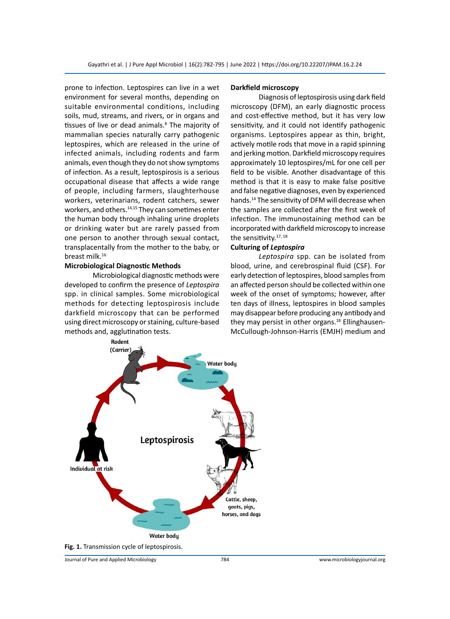prone to infection. Leptospires can live in a wet environment for several months, depending on suitable environmental conditions, including soils, mud, streams, and rivers, or in organs and tissues of live or dead animals.<sup>8</sup> The majority of mammalian species naturally carry pathogenic leptospires, which are released in the urine of infected animals, including rodents and farm animals, even though they do not show symptoms of infection. As a result, leptospirosis is a serious occupational disease that affects a wide range of people, including farmers, slaughterhouse workers, veterinarians, rodent catchers, sewer workers, and others.<sup>14,15</sup> They can sometimes enter the human body through inhaling urine droplets or drinking water but are rarely passed from one person to another through sexual contact, transplacentally from the mother to the baby, or breast milk.<sup>16</sup>

## **Microbiological Diagnostic Methods**

Microbiological diagnostic methods were developed to confirm the presence of *Leptospira* spp. in clinical samples. Some microbiological methods for detecting leptospirosis include darkfield microscopy that can be performed using direct microscopy or staining, culture-based methods and, agglutination tests.

#### **Darkfield microscopy**

Diagnosis of leptospirosis using dark field microscopy (DFM), an early diagnostic process and cost-effective method, but it has very low sensitivity, and it could not identify pathogenic organisms. Leptospires appear as thin, bright, actively motile rods that move in a rapid spinning and jerking motion. Darkfield microscopy requires approximately 10 leptospires/mL for one cell per field to be visible. Another disadvantage of this method is that it is easy to make false positive and false negative diagnoses, even by experienced hands.14 The sensitivity of DFM will decrease when the samples are collected after the first week of infection. The immunostaining method can be incorporated with darkfield microscopy to increase the sensitivity.<sup>17, 18</sup>

#### **Culturing of** *Leptospira*

*Leptospira* spp. can be isolated from blood, urine, and cerebrospinal fluid (CSF). For early detection of leptospires, blood samples from an affected person should be collected within one week of the onset of symptoms; however, after ten days of illness, leptospires in blood samples may disappear before producing any antibody and they may persist in other organs.<sup>18</sup> Ellinghausen-McCullough-Johnson-Harris (EMJH) medium and

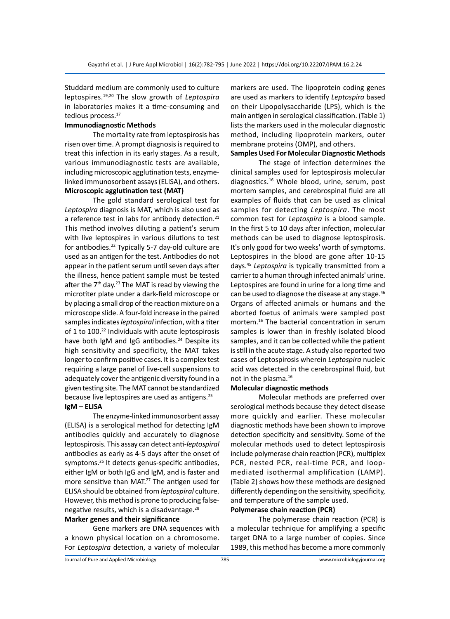Studdard medium are commonly used to culture leptospires.19,20 The slow growth of *Leptospira* in laboratories makes it a time-consuming and tedious process.<sup>17</sup>

# **Immunodiagnostic Methods**

The mortality rate from leptospirosis has risen over time. A prompt diagnosis is required to treat this infection in its early stages. As a result, various immunodiagnostic tests are available, including microscopic agglutination tests, enzymelinked immunosorbent assays (ELISA), and others. **Microscopic agglutination test (MAT)**

The gold standard serological test for *Leptospira* diagnosis is MAT, which is also used as a reference test in labs for antibody detection.<sup>21</sup> This method involves diluting a patient's serum with live leptospires in various dilutions to test for antibodies.22 Typically 5-7 day-old culture are used as an antigen for the test. Antibodies do not appear in the patient serum until seven days after the illness, hence patient sample must be tested after the  $7<sup>th</sup>$  day.<sup>23</sup> The MAT is read by viewing the microtiter plate under a dark-field microscope or by placing a small drop of the reaction mixture on a microscope slide. A four-fold increase in the paired samples indicates *leptospiral* infection, with a titer of 1 to 100.<sup>22</sup> Individuals with acute leptospirosis have both IgM and IgG antibodies.<sup>24</sup> Despite its high sensitivity and specificity, the MAT takes longer to confirm positive cases. It is a complex test requiring a large panel of live-cell suspensions to adequately cover the antigenic diversity found in a given testing site. The MAT cannot be standardized because live leptospires are used as antigens.<sup>25</sup> **IgM – ELISA**

The enzyme-linked immunosorbent assay (ELISA) is a serological method for detecting IgM antibodies quickly and accurately to diagnose leptospirosis. This assay can detect anti-*leptospiral*  antibodies as early as 4-5 days after the onset of symptoms.<sup>26</sup> It detects genus-specific antibodies, either IgM or both IgG and IgM, and is faster and more sensitive than MAT.<sup>27</sup> The antigen used for ELISA should be obtained from *leptospiral* culture. However, this method is prone to producing falsenegative results, which is a disadvantage.<sup>28</sup>

#### **Marker genes and their significance**

Gene markers are DNA sequences with a known physical location on a chromosome. For *Leptospira* detection, a variety of molecular markers are used. The lipoprotein coding genes are used as markers to identify *Leptospira* based on their Lipopolysaccharide (LPS), which is the main antigen in serological classification. (Table 1) lists the markers used in the molecular diagnostic method, including lipoprotein markers, outer membrane proteins (OMP), and others.

# **Samples Used For Molecular Diagnostic Methods**

The stage of infection determines the clinical samples used for leptospirosis molecular diagnostics.<sup>16</sup> Whole blood, urine, serum, post mortem samples, and cerebrospinal fluid are all examples of fluids that can be used as clinical samples for detecting *Leptospira*. The most common test for *Leptospira* is a blood sample. In the first 5 to 10 days after infection, molecular methods can be used to diagnose leptospirosis. It's only good for two weeks' worth of symptoms. Leptospires in the blood are gone after 10-15 days.45 *Leptospira* is typically transmitted from a carrier to a human through infected animals' urine. Leptospires are found in urine for a long time and can be used to diagnose the disease at any stage.<sup>46</sup> Organs of affected animals or humans and the aborted foetus of animals were sampled post mortem.16 The bacterial concentration in serum samples is lower than in freshly isolated blood samples, and it can be collected while the patient is still in the acute stage. A study also reported two cases of Leptospirosis wherein *Leptospira* nucleic acid was detected in the cerebrospinal fluid, but not in the plasma.16

## **Molecular diagnostic methods**

Molecular methods are preferred over serological methods because they detect disease more quickly and earlier. These molecular diagnostic methods have been shown to improve detection specificity and sensitivity. Some of the molecular methods used to detect leptospirosis include polymerase chain reaction (PCR), multiplex PCR, nested PCR, real-time PCR, and loopmediated isothermal amplification (LAMP). (Table 2) shows how these methods are designed differently depending on the sensitivity, specificity, and temperature of the sample used.

# **Polymerase chain reaction (PCR)**

The polymerase chain reaction (PCR) is a molecular technique for amplifying a specific target DNA to a large number of copies. Since 1989, this method has become a more commonly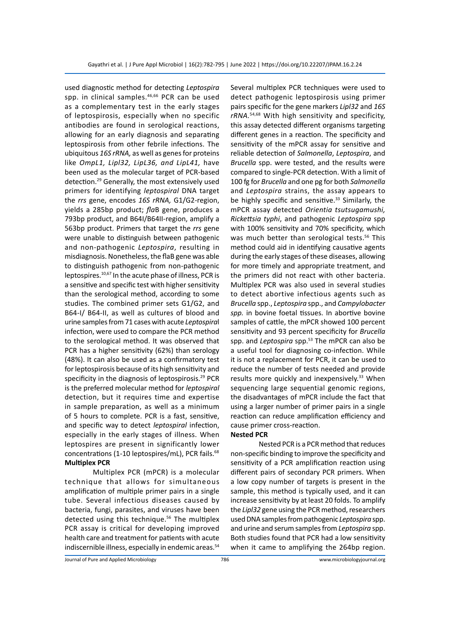used diagnostic method for detecting *Leptospira* spp. in clinical samples.<sup>46,66</sup> PCR can be used as a complementary test in the early stages of leptospirosis, especially when no specific antibodies are found in serological reactions, allowing for an early diagnosis and separating leptospirosis from other febrile infections. The ubiquitous *16S rRNA,* as well as genes for proteins like *OmpL1, Lipl32, LipL36, and LipL41,* have been used as the molecular target of PCR-based detection.29 Generally, the most extensively used primers for identifying *leptospiral* DNA target the *rrs* gene, encodes *16S rRNA,* G1/G2-region, yields a 285bp product; *fla*B gene, produces a 793bp product, and B64I/B64II-region, amplify a 563bp product. Primers that target the *rrs* gene were unable to distinguish between pathogenic and non-pathogenic *Leptospira*, resulting in misdiagnosis. Nonetheless, the flaB gene was able to distinguish pathogenic from non-pathogenic leptospires.10,67 In the acute phase of illness, PCR is a sensitive and specific test with higher sensitivity than the serological method, according to some studies. The combined primer sets G1/G2, and B64-I/ B64-II, as well as cultures of blood and urine samples from 71 cases with acute *Leptospira*l infection, were used to compare the PCR method to the serological method. It was observed that PCR has a higher sensitivity (62%) than serology (48%). It can also be used as a confirmatory test for leptospirosis because of its high sensitivity and specificity in the diagnosis of leptospirosis.<sup>29</sup> PCR is the preferred molecular method for *leptospiral* detection, but it requires time and expertise in sample preparation, as well as a minimum of 5 hours to complete. PCR is a fast, sensitive, and specific way to detect *leptospiral* infection, especially in the early stages of illness. When leptospires are present in significantly lower concentrations (1-10 leptospires/mL), PCR fails.<sup>68</sup> **Multiplex PCR**

Multiplex PCR (mPCR) is a molecular technique that allows for simultaneous amplification of multiple primer pairs in a single tube. Several infectious diseases caused by bacteria, fungi, parasites, and viruses have been detected using this technique.<sup>56</sup> The multiplex PCR assay is critical for developing improved health care and treatment for patients with acute indiscernible illness, especially in endemic areas.<sup>54</sup> Several multiplex PCR techniques were used to detect pathogenic leptospirosis using primer pairs specific for the gene markers *Lipl32* and *16S rRNA.*54,68 With high sensitivity and specificity, this assay detected different organisms targeting different genes in a reaction. The specificity and sensitivity of the mPCR assay for sensitive and reliable detection of *Salmonella*, *Leptospira*, and *Brucella* spp. were tested, and the results were compared to single-PCR detection. With a limit of 100 fg for *Brucella* and one pg for both *Salmonella* and *Leptospira* strains, the assay appears to be highly specific and sensitive.<sup>33</sup> Similarly, the mPCR assay detected *Orientia tsutsugamushi, Rickettsia typhi*, and pathogenic *Leptospira* spp with 100% sensitivity and 70% specificity, which was much better than serological tests.<sup>56</sup> This method could aid in identifying causative agents during the early stages of these diseases, allowing for more timely and appropriate treatment, and the primers did not react with other bacteria. Multiplex PCR was also used in several studies to detect abortive infectious agents such as *Brucella* spp., *Leptospira* spp., and *Campylobacter spp.* in bovine foetal tissues. In abortive bovine samples of cattle, the mPCR showed 100 percent sensitivity and 93 percent specificity for *Brucella* spp. and *Leptospira* spp.<sup>53</sup> The mPCR can also be a useful tool for diagnosing co-infection. While it is not a replacement for PCR, it can be used to reduce the number of tests needed and provide results more quickly and inexpensively.<sup>33</sup> When sequencing large sequential genomic regions, the disadvantages of mPCR include the fact that using a larger number of primer pairs in a single reaction can reduce amplification efficiency and cause primer cross-reaction.

#### **Nested PCR**

Nested PCR is a PCR method that reduces non-specific binding to improve the specificity and sensitivity of a PCR amplification reaction using different pairs of secondary PCR primers. When a low copy number of targets is present in the sample, this method is typically used, and it can increase sensitivity by at least 20 folds. To amplify the *Lipl32* gene using the PCR method, researchers used DNA samples from pathogenic *Leptospira* spp. and urine and serum samples from *Leptospira* spp. Both studies found that PCR had a low sensitivity when it came to amplifying the 264bp region.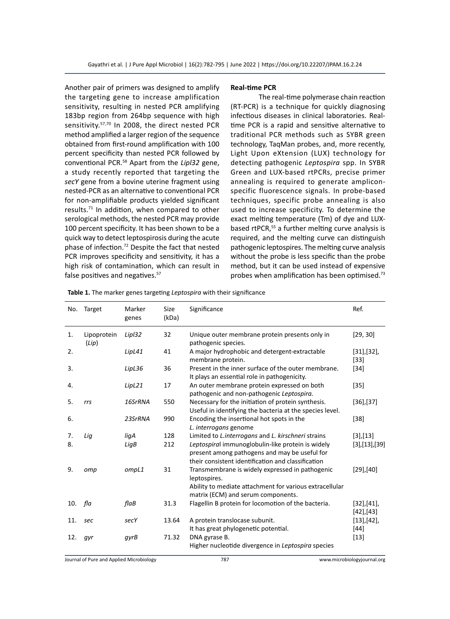Another pair of primers was designed to amplify the targeting gene to increase amplification sensitivity, resulting in nested PCR amplifying 183bp region from 264bp sequence with high sensitivity.<sup>57,70</sup> In 2008, the direct nested PCR method amplified a larger region of the sequence obtained from first-round amplification with 100 percent specificity than nested PCR followed by conventional PCR.<sup>58</sup> Apart from the *Lipl32* gene, a study recently reported that targeting the *secY* gene from a bovine uterine fragment using nested-PCR as an alternative to conventional PCR for non-amplifiable products yielded significant results.71 In addition, when compared to other serological methods, the nested PCR may provide 100 percent specificity. It has been shown to be a quick way to detect leptospirosis during the acute phase of infection.<sup>72</sup> Despite the fact that nested PCR improves specificity and sensitivity, it has a high risk of contamination, which can result in false positives and negatives.<sup>57</sup>

#### **Real-time PCR**

The real-time polymerase chain reaction (RT-PCR) is a technique for quickly diagnosing infectious diseases in clinical laboratories. Realtime PCR is a rapid and sensitive alternative to traditional PCR methods such as SYBR green technology, TaqMan probes, and, more recently, Light Upon eXtension (LUX) technology for detecting pathogenic *Leptospira* spp. In SYBR Green and LUX-based rtPCRs, precise primer annealing is required to generate ampliconspecific fluorescence signals. In probe-based techniques, specific probe annealing is also used to increase specificity. To determine the exact melting temperature (Tm) of dye and LUXbased rtPCR,<sup>55</sup> a further melting curve analysis is required, and the melting curve can distinguish pathogenic leptospires. The melting curve analysis without the probe is less specific than the probe method, but it can be used instead of expensive probes when amplification has been optimised.<sup>73</sup>

| No. | <b>Target</b>        | Marker<br>genes | Size<br>(kDa) | Significance                                                                                                                                             | Ref.                    |
|-----|----------------------|-----------------|---------------|----------------------------------------------------------------------------------------------------------------------------------------------------------|-------------------------|
| 1.  | Lipoprotein<br>(Lip) | Lipl32          | 32            | Unique outer membrane protein presents only in<br>pathogenic species.                                                                                    | [29, 30]                |
| 2.  |                      | LipL41          | 41            | A major hydrophobic and detergent-extractable<br>membrane protein.                                                                                       | [31],[32],<br>$[33]$    |
| 3.  |                      | LipL36          | 36            | Present in the inner surface of the outer membrane.<br>It plays an essential role in pathogenicity.                                                      | $[34]$                  |
| 4.  |                      | LipL21          | 17            | An outer membrane protein expressed on both<br>pathogenic and non-pathogenic Leptospira.                                                                 | $[35]$                  |
| 5.  | rrs                  | 16SrRNA         | 550           | Necessary for the initiation of protein synthesis.<br>Useful in identifying the bacteria at the species level.                                           | $[36]$ , $[37]$         |
| 6.  |                      | 23SrRNA         | 990           | Encoding the insertional hot spots in the<br>L. interrogans genome                                                                                       | $[38]$                  |
| 7.  | Lig                  | ligA            | 128           | Limited to <i>L.interrogans</i> and <i>L. kirschneri</i> strains                                                                                         | [3],[13]                |
| 8.  |                      | LigB            | 212           | Leptospiral immunoglobulin-like protein is widely<br>present among pathogens and may be useful for<br>their consistent identification and classification | [3],[13],[39]           |
| 9.  | omp                  | ompL1           | 31            | Transmembrane is widely expressed in pathogenic<br>leptospires.<br>Ability to mediate attachment for various extracellular                               | $[29]$ , $[40]$         |
|     |                      |                 |               | matrix (ECM) and serum components.                                                                                                                       |                         |
| 10. | fla                  | flaB            | 31.3          | Flagellin B protein for locomotion of the bacteria.                                                                                                      | [32],[41],<br>[42],[43] |
| 11. | sec                  | secY            | 13.64         | A protein translocase subunit.<br>It has great phylogenetic potential.                                                                                   | $[13],[42]$ ,<br>$[44]$ |
| 12. | qyr                  | qyrB            | 71.32         | DNA gyrase B.<br>Higher nucleotide divergence in Leptospira species                                                                                      | $[13]$                  |

**Table 1.** The marker genes targeting *Leptospira* with their significance

Journal of Pure and Applied Microbiology 787 www.microbiologyjournal.org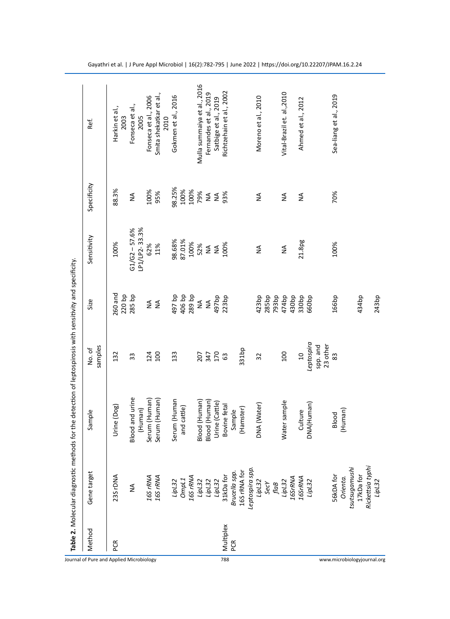| Method           | Gene target                                       | Sample                 | samples<br>No. of    | Size                                    | Sensitivity             | Specificity | Ref.                            |
|------------------|---------------------------------------------------|------------------------|----------------------|-----------------------------------------|-------------------------|-------------|---------------------------------|
| PCR              | 23S rDNA                                          | Urine (Dog)            | 132                  | 260 and                                 | 100%                    | 88.3%       | Harkin et al.,                  |
|                  |                                                   |                        |                      | 220 bp                                  |                         |             | 2003                            |
|                  | ≨                                                 | <b>Blood and urine</b> | 33                   | 285 bp                                  | $G1/G2 - 57.6%$         | ≸           | Fonseca et al.,                 |
|                  |                                                   | Human)                 |                      |                                         | P1/LP2-33.3%            |             | 2005                            |
|                  |                                                   | Serum (Human)          | 124                  | $\frac{4}{2}$                           | 62%                     | 100%        | Fonseca et al., 2006            |
|                  | 16S rRNA<br>16S rRNA                              | Serum (Human)          | 100                  | $\mathop{\mathsf{S}}\limits_\mathsf{Z}$ | 11%                     | 95%         | Smita shekatkar et al.,<br>2010 |
|                  | LipL32                                            | Serum (Human           | 133                  | qd 784                                  | 98.68%                  | 98.25%      | Gokmen et al., 2016             |
|                  | Omp <sub>L1</sub>                                 | and cattle)            |                      | 406 bp                                  | 87.01%                  | 100%        |                                 |
|                  |                                                   |                        |                      | 289 bp                                  | 100%                    | 100%        |                                 |
|                  | 16S rRNA<br>LipL32<br>LipL32                      | Blood (Human)          | 207                  | $\frac{4}{2}$                           | 52%                     | 79%         | Mulla summaiya et al., 2016     |
|                  |                                                   | Blood (Human)          |                      | $\frac{4}{2}$                           |                         | $\lessgtr$  | Fernandes et al., 2019          |
|                  | LipL32                                            | Urine (Cattle)         | 347<br>170           | 497bp                                   | <b>MA</b><br>MA<br>100% | $\lessgtr$  | Satbige et al., 2019            |
|                  |                                                   | Bovine fetal           | යි                   | 223bp                                   |                         | 93%         | Richtzehain et al., 2002        |
| Multiplex<br>PCR |                                                   | Sample                 |                      |                                         |                         |             |                                 |
|                  | 31kDa for<br><i>Brucella spp.</i><br>16S rRNA for | (Hamster)              | 331bp                |                                         |                         |             |                                 |
|                  | Leptospira spp.                                   |                        |                      |                                         |                         |             |                                 |
|                  | LipL32                                            | DNA (Water)            | 32                   | 423bp                                   | $\frac{4}{2}$           | ≸           | Moreno et al., 2010             |
|                  | SecY                                              |                        |                      | 285bp                                   |                         |             |                                 |
|                  | $\mathit{flag}$                                   |                        |                      | 793bp                                   |                         |             |                                 |
|                  | LipL32                                            | Water sample           | 100                  | 474bp                                   | $\frac{4}{2}$           | ≸           | Vital-Brazil et. al., 2010      |
|                  | 16SrRNA                                           |                        |                      | 430bp                                   |                         |             |                                 |
|                  |                                                   | Culture                | $\overline{a}$       | 330bp                                   | 21.8pg                  | $\lessgtr$  | Ahmed et al., 2012              |
|                  | 16SrRNA<br>LipL32                                 | DNA(Human)             | Leptospira           | 660bp                                   |                         |             |                                 |
|                  |                                                   |                        | 23 other<br>spp. and |                                         |                         |             |                                 |
|                  | <b>56kDA for</b>                                  | Blood                  | 83                   | 166bp                                   | 100%                    | 70%         | Sea-liang et al., 2019          |
|                  | Orienta.                                          | (Human)                |                      |                                         |                         |             |                                 |
|                  | tsutsugamushi                                     |                        |                      |                                         |                         |             |                                 |
|                  | 17kDa for                                         |                        |                      | 434bp                                   |                         |             |                                 |
|                  | Rickettsia typhi                                  |                        |                      |                                         |                         |             |                                 |
|                  | LipL32                                            |                        |                      | 243bp                                   |                         |             |                                 |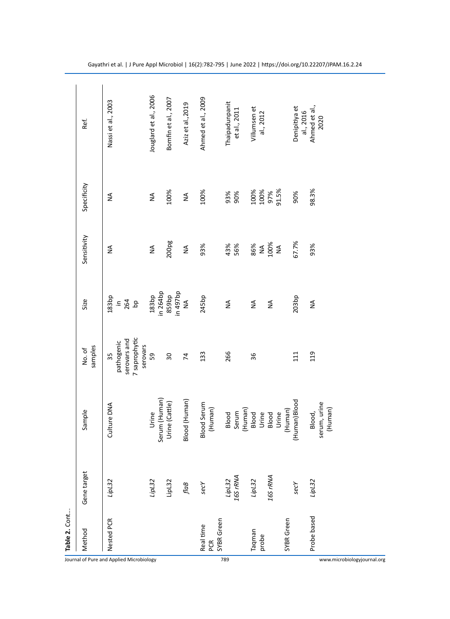|                                          | Table 2. Cont                  |                    |                                   |                                                               |                                                     |                                            |               |                                |
|------------------------------------------|--------------------------------|--------------------|-----------------------------------|---------------------------------------------------------------|-----------------------------------------------------|--------------------------------------------|---------------|--------------------------------|
|                                          | Method                         | Gene target        | Sample                            | samples<br>No. of                                             | Size                                                | Sensitivity                                | Specificity   | Ref.                           |
| Journal of Pure and Applied Microbiology | Nested PCR                     | LipL32             | Culture DNA                       | 7 saprophytic<br>serovars and<br>pathogenic<br>serovars<br>35 | 183 <sub>bp</sub><br>$\equiv \frac{5}{64}$ $\equiv$ | $\frac{4}{2}$                              | $\frac{4}{2}$ | Nassi et al., 2003             |
|                                          |                                | LipL32             | Urine                             | 59                                                            | in 264bp<br>183bp                                   | $\stackrel{\triangle}{\geq}$               | $\lessgtr$    | Jouglard et al., 2006          |
|                                          |                                | LipL32             | Serum (Human)<br>Urine (Cattle)   | $\overline{\mathrm{30}}$                                      | qd <sub>26</sub> b ni<br>859bp                      | 200pg                                      | 100%          | Bomfin et al., 2007            |
|                                          |                                | $\mathit{flag}$    | Blood (Human)                     | $\overline{7}$                                                | $\leq$                                              | $\stackrel{\triangle}{\geq}$               | $\lessgtr$    | Aziz et al., 2019              |
|                                          | SYBR Green<br>Real time<br>PCR | secY               | Blood Serum<br>(Human)            | 133                                                           | 245bp                                               | 93%                                        | 100%          | Ahmed et al., 2009             |
| 789                                      |                                | LipL32<br>16S rRNA | (Human)<br>Blood<br>Serum         | 266                                                           | $\mathop{\leq}\limits_{\mathrel{{\sf d}}}$          | 43%<br>56%                                 | 93%<br>90%    | Thaipadunpanit<br>et al., 2011 |
|                                          | Taqman                         | LipL32             | Blood                             | 36                                                            | $\stackrel{\triangle}{\geq}$                        |                                            |               | Villumsen et                   |
|                                          | probe                          |                    | Urine                             |                                                               |                                                     | 86%<br>NA<br>100%                          | 100%<br>100%  | al., 2012                      |
|                                          |                                | 16S rRNA           | Blood                             |                                                               | $\mathop{\mathsf{S}}\limits_\mathsf{Z}$             |                                            | 97%<br>91.5%  |                                |
|                                          | SYBR Green                     |                    | (Human)<br>Urine                  |                                                               |                                                     | $\mathop{\leq}\limits_{\mathrel{{\sf d}}}$ |               |                                |
|                                          |                                | secY               | Human)Blood                       | 111                                                           | 203bp                                               | 67.7%                                      | 90%           | Denipitiya et<br>al., 2016     |
| www.microbiologyjournal.org              | Probe based                    | LipL32             | serum, urine<br>(Human)<br>Blood, | 119                                                           | $\stackrel{\triangle}{\geq}$                        | 93%                                        | 98.3%         | Ahmed et al.,<br>2020          |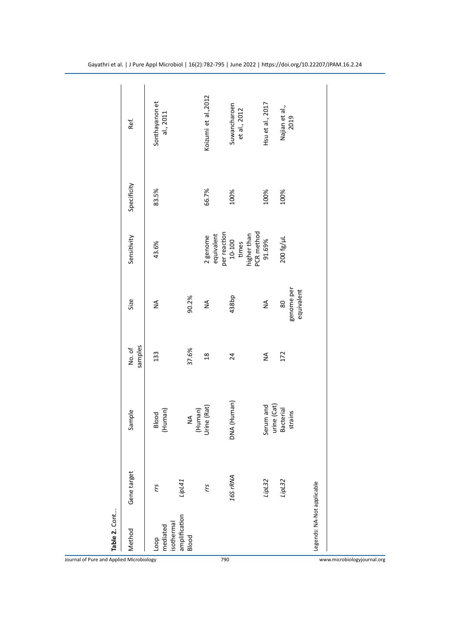| Table 2. Cont                 |                     |                             |                  |                                |                                     |             |                              |
|-------------------------------|---------------------|-----------------------------|------------------|--------------------------------|-------------------------------------|-------------|------------------------------|
| Method                        | Gene target         | Sample                      | samples<br>No.of | Size                           | Sensitivity                         | Specificity | Ref.                         |
| mediated<br>isothermal<br>doo | rrs                 | (Human)<br>Blood            | 133              | ≨                              | 43.6%                               | 83.5%       | Sonthayanon et<br>al., 2011  |
| amplification<br>Blood        | Lip <sub>L41</sub>  | (Human)<br>≸                | 37.6%            | 90.2%                          |                                     |             |                              |
|                               | rrs                 | Urine (Rat)                 | $\frac{8}{18}$   | $\frac{4}{2}$                  | equivalent<br>2 genome              | 66.7%       | Koizumi et al., 2012         |
|                               | 16S <sub>rRNA</sub> | DNA (Human)                 | 24               | 438bp                          | per reaction<br>10-100<br>times     | 100%        | Suwancharoen<br>et al., 2012 |
|                               | LipL32              | urine (Cat)<br>Serum and    | ≸                | ≨                              | higher than<br>PCR method<br>91.69% | 100%        | Hsu et al., 2017             |
|                               | LipL32              | <b>Bacterial</b><br>strains | 172              | genome per<br>equivalent<br>80 | 200 fg/µL                           | 100%        | Najian et al.,<br>2019       |
| Legends: NA-Not applicable    |                     |                             |                  |                                |                                     |             |                              |
|                               |                     |                             |                  |                                |                                     |             |                              |

Journal of Pure and Applied Microbiology 790 www.microbiologyjournal.org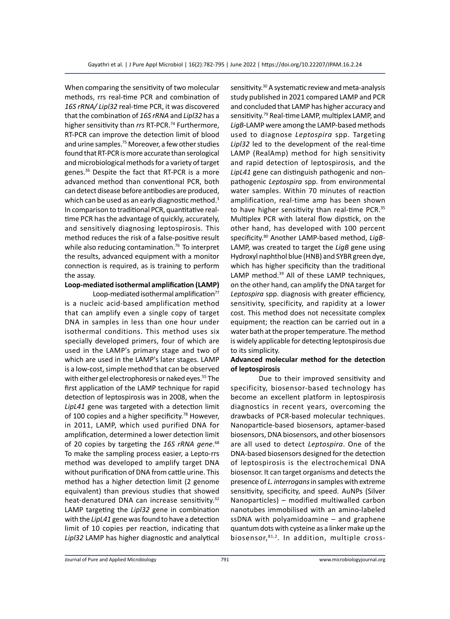When comparing the sensitivity of two molecular methods, rrs real-time PCR and combination of *16S rRNA/ Lipl32* real-time PCR, it was discovered that the combination of *16S rRNA* and *Lipl32* has a higher sensitivity than rrs RT-PCR.<sup>74</sup> Furthermore, RT-PCR can improve the detection limit of blood and urine samples.75 Moreover, a few other studies found that RT-PCR is more accurate than serological and microbiological methods for a variety of target genes.36 Despite the fact that RT-PCR is a more advanced method than conventional PCR, both can detect disease before antibodies are produced, which can be used as an early diagnostic method.<sup>3</sup> In comparison to traditional PCR, quantitative realtime PCR has the advantage of quickly, accurately, and sensitively diagnosing leptospirosis. This method reduces the risk of a false-positive result while also reducing contamination.<sup>76</sup> To interpret the results, advanced equipment with a monitor connection is required, as is training to perform the assay.

# **Loop-mediated isothermal amplification (LAMP)**

Loop-mediated isothermal amplification $77$ is a nucleic acid-based amplification method that can amplify even a single copy of target DNA in samples in less than one hour under isothermal conditions. This method uses six specially developed primers, four of which are used in the LAMP's primary stage and two of which are used in the LAMP's later stages. LAMP is a low-cost, simple method that can be observed with either gel electrophoresis or naked eyes.<sup>55</sup> The first application of the LAMP technique for rapid detection of leptospirosis was in 2008, when the *LipL41* gene was targeted with a detection limit of 100 copies and a higher specificity.<sup>78</sup> However, in 2011, LAMP, which used purified DNA for amplification, determined a lower detection limit of 20 copies by targeting the *16S rRNA gene*. 68 To make the sampling process easier, a Lepto-rrs method was developed to amplify target DNA without purification of DNA from cattle urine. This method has a higher detection limit (2 genome equivalent) than previous studies that showed heat-denatured DNA can increase sensitivity.<sup>32</sup> LAMP targeting the *Lipl32* gene in combination with the *LipL41* gene was found to have a detection limit of 10 copies per reaction, indicating that *Lipl32* LAMP has higher diagnostic and analytical sensitivity.<sup>30</sup> A systematic review and meta-analysis study published in 2021 compared LAMP and PCR and concluded that LAMP has higher accuracy and sensitivity.<sup>79</sup> Real-time LAMP, multiplex LAMP, and *LigB*-LAMP were among the LAMP-based methods used to diagnose *Leptospira* spp. Targeting *Lipl32* led to the development of the real-time LAMP (RealAmp) method for high sensitivity and rapid detection of leptospirosis, and the *LipL41* gene can distinguish pathogenic and nonpathogenic *Leptospira* spp. from environmental water samples. Within 70 minutes of reaction amplification, real-time amp has been shown to have higher sensitivity than real-time PCR.<sup>35</sup> Multiplex PCR with lateral flow dipstick, on the other hand, has developed with 100 percent specificity.80 Another LAMP-based method, *LigB*-LAMP, was created to target the *LigB* gene using Hydroxyl naphthol blue (HNB) and SYBR green dye, which has higher specificity than the traditional LAMP method.<sup>39</sup> All of these LAMP techniques, on the other hand, can amplify the DNA target for *Leptospira* spp. diagnosis with greater efficiency, sensitivity, specificity, and rapidity at a lower cost. This method does not necessitate complex equipment; the reaction can be carried out in a water bath at the proper temperature. The method is widely applicable for detecting leptospirosis due to its simplicity.

# **Advanced molecular method for the detection of leptospirosis**

Due to their improved sensitivity and specificity, biosensor-based technology has become an excellent platform in leptospirosis diagnostics in recent years, overcoming the drawbacks of PCR-based molecular techniques. Nanoparticle-based biosensors, aptamer-based biosensors, DNA biosensors, and other biosensors are all used to detect *Leptospira*. One of the DNA-based biosensors designed for the detection of leptospirosis is the electrochemical DNA biosensor. It can target organisms and detects the presence of *L. interrogans* in samples with extreme sensitivity, specificity, and speed. AuNPs (Silver Nanoparticles) – modified multiwalled carbon nanotubes immobilised with an amino-labeled ssDNA with polyamidoamine – and graphene quantum dots with cysteine as a linker make up the biosensor, 81,2. In addition, multiple cross-

Journal of Pure and Applied Microbiology 791 www.microbiologyjournal.org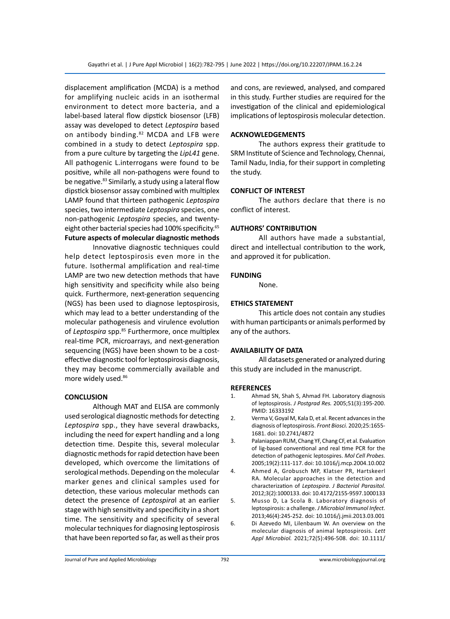displacement amplification (MCDA) is a method for amplifying nucleic acids in an isothermal environment to detect more bacteria, and a label-based lateral flow dipstick biosensor (LFB) assay was developed to detect *Leptospira* based on antibody binding.<sup>82</sup> MCDA and LFB were combined in a study to detect *Leptospira* spp. from a pure culture by targeting the *LipL41* gene. All pathogenic L.interrogans were found to be positive, while all non-pathogens were found to be negative.<sup>83</sup> Similarly, a study using a lateral flow dipstick biosensor assay combined with multiplex LAMP found that thirteen pathogenic *Leptospira* species, two intermediate *Leptospira* species, one non-pathogenic *Leptospira* species, and twentyeight other bacterial species had 100% specificity.<sup>65</sup> **Future aspects of molecular diagnostic methods**

Innovative diagnostic techniques could help detect leptospirosis even more in the future. Isothermal amplification and real-time LAMP are two new detection methods that have high sensitivity and specificity while also being quick. Furthermore, next-generation sequencing (NGS) has been used to diagnose leptospirosis, which may lead to a better understanding of the molecular pathogenesis and virulence evolution of Leptospira spp.<sup>85</sup> Furthermore, once multiplex real-time PCR, microarrays, and next-generation sequencing (NGS) have been shown to be a costeffective diagnostic tool for leptospirosis diagnosis, they may become commercially available and more widely used.86

# **CONCLUSION**

Although MAT and ELISA are commonly used serological diagnostic methods for detecting *Leptospira* spp., they have several drawbacks, including the need for expert handling and a long detection time. Despite this, several molecular diagnostic methods for rapid detection have been developed, which overcome the limitations of serological methods. Depending on the molecular marker genes and clinical samples used for detection, these various molecular methods can detect the presence of *Leptospira*l at an earlier stage with high sensitivity and specificity in a short time. The sensitivity and specificity of several molecular techniques for diagnosing leptospirosis that have been reported so far, as well as their pros and cons, are reviewed, analysed, and compared in this study. Further studies are required for the investigation of the clinical and epidemiological implications of leptospirosis molecular detection.

# **ACKNOWLEDGEMENTS**

The authors express their gratitude to SRM Institute of Science and Technology, Chennai, Tamil Nadu, India, for their support in completing the study.

## **CONFLICT OF INTEREST**

The authors declare that there is no conflict of interest.

## **AUTHORS' CONTRIBUTION**

All authors have made a substantial, direct and intellectual contribution to the work, and approved it for publication.

## **FUNDING**

None.

# **ETHICS STATEMENT**

This article does not contain any studies with human participants or animals performed by any of the authors.

#### **AVAILABILITY OF DATA**

All datasets generated or analyzed during this study are included in the manuscript.

#### **REFERENCES**

- 1. Ahmad SN, Shah S, Ahmad FH. Laboratory diagnosis of leptospirosis. *J Postgrad Res.* 2005;51(3):195-200. PMID: 16333192
- 2. Verma V, Goyal M, Kala D, et al. Recent advances in the diagnosis of leptospirosis. *Front Biosci.* 2020;25:1655- 1681. doi: 10.2741/4872
- 3. Palaniappan RUM, Chang YF, Chang CF, et al. Evaluation of lig-based conventional and real time PCR for the detection of pathogenic leptospires. *Mol Cell Probes.*  2005;19(2):111-117. doi: 10.1016/j.mcp.2004.10.002
- 4. Ahmed A, Grobusch MP, Klatser PR, Hartskeerl RA. Molecular approaches in the detection and characterization of *Leptospira*. *J Bacteriol Parasitol.* 2012;3(2):1000133. doi: 10.4172/2155-9597.1000133
- 5. Musso D, La Scola B. Laboratory diagnosis of leptospirosis: a challenge. *J Microbiol Immunol Infect.* 2013;46(4):245-252. doi: 10.1016/j.jmii.2013.03.001
- 6. Di Azevedo MI, Lilenbaum W. An overview on the molecular diagnosis of animal leptospirosis. *Lett Appl Microbiol.* 2021;72(5):496-508. doi: 10.1111/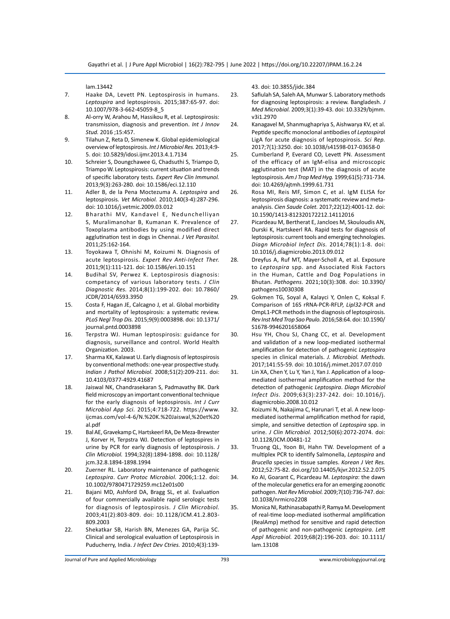lam.13442

- 7. Haake DA, Levett PN. Leptospirosis in humans. *Leptospira* and leptospirosis. 2015;387:65-97. doi: 10.1007/978-3-662-45059-8\_5
- 8. Al-orry W, Arahou M, Hassikou R, et al. Leptospirosis: transmission, diagnosis and prevention. *Int J Innov Stud.* 2016 ;15:457.
- 9. Tilahun Z, Reta D, Simenew K. Global epidemiological overview of leptospirosis. *Int J Microbiol Res.* 2013;4:9- 5. doi: 10.5829/idosi.ijmr.2013.4.1.7134
- 10. Schreier S, Doungchawee G, Chadsuthi S, Triampo D, Triampo W. Leptospirosis: current situation and trends of specific laboratory tests. *Expert Rev Clin Immunol.*  2013;9(3):263-280. doi: 10.1586/eci.12.110
- 11. Adler B, de la Pena Moctezuma A. *Leptospira* and leptospirosis. *Vet Microbiol.* 2010;140(3-4):287-296. doi: 10.1016/j.vetmic.2009.03.012
- 12. Bharathi MV, Kandavel E, Nedunchelliyan S, Muralimanohar B, Kumanan K. Prevalence of Toxoplasma antibodies by using modified direct agglutination test in dogs in Chennai. *J Vet Parasitol.*  2011;25:162-164.
- 13. Toyokawa T, Ohnishi M, Koizumi N. Diagnosis of acute leptospirosis. *Expert Rev Anti-Infect Ther.* 2011;9(1):111-121. doi: 10.1586/eri.10.151
- 14. Budihal SV, Perwez K. Leptospirosis diagnosis: competancy of various laboratory tests. *J Clin Diagnostic Res.* 2014;8(1):199-202. doi: 10.7860/ JCDR/2014/6593.3950
- 15. Costa F, Hagan JE, Calcagno J, et al. Global morbidity and mortality of leptospirosis: a systematic review. *PLoS Negl Trop Dis.* 2015;9(9):0003898. doi: 10.1371/ journal.pntd.0003898
- 16. Terpstra WJ. Human leptospirosis: guidance for diagnosis, surveillance and control. World Health Organization. 2003.
- 17. Sharma KK, Kalawat U. Early diagnosis of leptospirosis by conventional methods: one-year prospective study. *Indian J Pathol Microbiol.* 2008;51(2):209-211. doi: 10.4103/0377-4929.41687
- 18. Jaiswal NK, Chandrasekaran S, Padmavathy BK. Dark field microscopy an important conventional technique for the early diagnosis of leptospirosis. *Int J Curr Microbiol App Sci.* 2015;4:718-722. https://www. ijcmas.com/vol-4-6/N.%20K.%20Jaiswal,%20et%20 al.pdf
- 19. Bal AE, Gravekamp C, Hartskeerl RA, De Meza-Brewster J, Korver H, Terpstra WJ. Detection of leptospires in urine by PCR for early diagnosis of leptospirosis. *J Clin Microbiol.* 1994;32(8):1894-1898. doi: 10.1128/ jcm.32.8.1894-1898.1994
- 20. Zuerner RL. Laboratory maintenance of pathogenic *Leptospira*. *Curr Protoc Microbiol.* 2006;1:12. doi: 10.1002/9780471729259.mc12e01s00
- 21. Bajani MD, Ashford DA, Bragg SL, et al. Evaluation of four commercially available rapid serologic tests for diagnosis of leptospirosis. *J Clin Microbiol.* 2003;41(2):803-809. doi: 10.1128/JCM.41.2.803- 809.2003
- 22. Shekatkar SB, Harish BN, Menezes GA, Parija SC. Clinical and serological evaluation of Leptospirosis in Puducherry, India. *J Infect Dev Ctries.* 2010;4(3):139-

43. doi: 10.3855/jidc.384

- 23. Safiulah SA, Saleh AA, Munwar S. Laboratory methods for diagnosing leptospirosis: a review. Bangladesh. *J Med Microbial.* 2009;3(1):39-43. doi: 10.3329/bjmm. v3i1.2970
- 24. Kanagavel M, Shanmughapriya S, Aishwarya KV, et al. Peptide specific monoclonal antibodies of *Leptospira*l LigA for acute diagnosis of leptospirosis. *Sci Rep.* 2017;7(1):3250. doi: 10.1038/s41598-017-03658-0
- 25. Cumberland P, Everard CO, Levett PN. Assessment of the efficacy of an IgM-elisa and microscopic agglutination test (MAT) in the diagnosis of acute leptospirosis. *Am J Trop Med Hyg.* 1999;61(5):731-734. doi: 10.4269/ajtmh.1999.61.731
- 26. Rosa MI, Reis MF, Simon C, et al. IgM ELISA for leptospirosis diagnosis: a systematic review and metaanalysis. *Cien Saude Colet.* 2017;22(12):4001-12. doi: 10.1590/1413-812320172212.14112016
- 27. Picardeau M, Bertherat E, Jancloes M, Skouloudis AN, Durski K, Hartskeerl RA. Rapid tests for diagnosis of leptospirosis: current tools and emerging technologies. *Diagn Microbiol Infect Dis.* 2014;78(1):1-8. doi: 10.1016/j.diagmicrobio.2013.09.012
- 28. Dreyfus A, Ruf MT, Mayer-Scholl A, et al. Exposure to *Leptospira* spp. and Associated Risk Factors in the Human, Cattle and Dog Populations in Bhutan. *Pathogens.* 2021;10(3):308. doi: 10.3390/ pathogens10030308
- 29. Gokmen TG, Soyal A, Kalayci Y, Onlen C, Koksal F. Comparison of 16S rRNA-PCR-RFLP, *Lipl32*-PCR and OmpL1-PCR methods in the diagnosis of leptospirosis. *Rev Inst Med Trop Sao Paulo.* 2016;58:64. doi: 10.1590/ S1678-9946201658064
- 30. Hsu YH, Chou SJ, Chang CC, et al. Development and validation of a new loop-mediated isothermal amplification for detection of pathogenic *Leptospira* species in clinical materials. *J. Microbiol. Methods.* 2017;141:55-59. doi: 10.1016/j.mimet.2017.07.010
- 31. Lin XA, Chen Y, Lu Y, Yan J, Yan J. Application of a loopmediated isothermal amplification method for the detection of pathogenic *Leptospira*. *Diagn Microbiol Infect Dis.* 2009;63(3):237-242. doi: 10.1016/j. diagmicrobio.2008.10.012
- 32. Koizumi N, Nakajima C, Harunari T, et al. A new loopmediated isothermal amplification method for rapid, simple, and sensitive detection of *Leptospira* spp. in urine. *J Clin Microbiol.* 2012;50(6):2072-2074. doi: 10.1128/JCM.00481-12
- 33. Truong QL, Yoon BI, Hahn TW. Development of a multiplex PCR to identify Salmonella, *Leptospira* and *Brucella* species in tissue samples. *Korean J Vet Res.*  2012;52:75-82. doi.org/10.14405/kjvr.2012.52.2.075
- 34. Ko AI, Goarant C, Picardeau M. *Leptospira*: the dawn of the molecular genetics era for an emerging zoonotic pathogen. *Nat Rev Microbiol.* 2009;7(10):736-747. doi: 10.1038/nrmicro2208
- 35. Monica NI, Rathinasabapathi P, Ramya M. Development of real‐time loop‐mediated isothermal amplification (RealAmp) method for sensitive and rapid detection of pathogenic and non-pathogenic *Leptospira*. *Lett Appl Microbiol.* 2019;68(2):196-203. doi: 10.1111/ lam.13108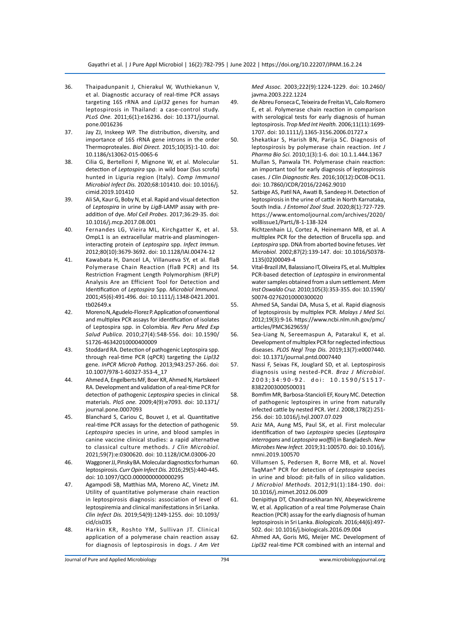- 36. Thaipadunpanit J, Chierakul W, Wuthiekanun V, et al. Diagnostic accuracy of real-time PCR assays targeting 16S rRNA and *Lipl32* genes for human leptospirosis in Thailand: a case-control study. *PLoS One.* 2011;6(1):e16236. doi: 10.1371/journal. pone.0016236
- 37. Jay ZJ, Inskeep WP. The distribution, diversity, and importance of 16S rRNA gene introns in the order Thermoproteales. *Biol Direct.* 2015;10(35):1-10. doi: 10.1186/s13062-015-0065-6
- 38. Cilia G, Bertelloni F, Mignone W, et al. Molecular detection of *Leptospira* spp. in wild boar (Sus scrofa) hunted in Liguria region (Italy). *Comp Immunol Microbiol Infect Dis.* 2020;68:101410. doi: 10.1016/j. cimid.2019.101410
- 39. Ali SA, Kaur G, Boby N, et al. Rapid and visual detection of *Leptospira* in urine by *LigB*-LAMP assay with preaddition of dye. *Mol Cell Probes.* 2017;36:29-35. doi: 10.1016/j.mcp.2017.08.001
- 40. Fernandes LG, Vieira ML, Kirchgatter K, et al. OmpL1 is an extracellular matrix-and plasminogeninteracting protein of *Leptospira* spp. *Infect Immun.* 2012;80(10):3679-3692. doi: 10.1128/IAI.00474-12
- 41. Kawabata H, Dancel LA, Villanueva SY, et al. flaB Polymerase Chain Reaction (flaB PCR) and Its Restriction Fragment Length Polymorphism (RFLP) Analysis Are an Efficient Tool for Detection and Identification of *Leptospira* Spp. *Microbiol Immunol.*  2001;45(6):491-496. doi: 10.1111/j.1348-0421.2001. tb02649.x
- 42. Moreno N, Agudelo-Florez P. Application of conventional and multiplex PCR assays for identification of isolates of Leptospira spp. in Colombia. *Rev Peru Med Exp Salud Publica.* 2010;27(4):548-556. doi: 10.1590/ S1726-46342010000400009
- 43. Stoddard RA. Detection of pathogenic Leptospira spp. through real-time PCR (qPCR) targeting the *Lipl32* gene. *InPCR Microb Pathog.* 2013;943:257-266. doi: 10.1007/978-1-60327-353-4\_17
- 44. Ahmed A, Engelberts MF, Boer KR, Ahmed N, Hartskeerl RA. Development and validation of a real-time PCR for detection of pathogenic *Leptospira* species in clinical materials. *PloS one.* 2009;4(9):e7093. doi: 10.1371/ journal.pone.0007093
- 45. Blanchard S, Cariou C, Bouvet J, et al. Quantitative real-time PCR assays for the detection of pathogenic *Leptospira* species in urine, and blood samples in canine vaccine clinical studies: a rapid alternative to classical culture methods. *J Clin Microbiol.* 2021;59(7):e:0300620. doi: 10.1128/JCM.03006-20
- 46. Waggoner JJ, Pinsky BA. Molecular diagnostics for human leptospirosis. *Curr Opin Infect Dis.* 2016;29(5):440-445. doi: 10.1097/QCO.0000000000000295
- 47. Agampodi SB, Matthias MA, Moreno AC, Vinetz JM. Utility of quantitative polymerase chain reaction in leptospirosis diagnosis: association of level of leptospiremia and clinical manifestations in Sri Lanka. *Clin Infect Dis.* 2019;54(9):1249-1255. doi: 10.1093/ cid/cis035
- 48. Harkin KR, Roshto YM, Sullivan JT. Clinical application of a polymerase chain reaction assay for diagnosis of leptospirosis in dogs. *J Am Vet*

*Med Assoc.* 2003;222(9):1224-1229. doi: 10.2460/ javma.2003.222.1224

- 49. de Abreu Fonseca C, Teixeira de Freitas VL, Calo Romero E, et al. Polymerase chain reaction in comparison with serological tests for early diagnosis of human leptospirosis. *Trop Med Int Health.* 2006;11(11):1699- 1707. doi: 10.1111/j.1365-3156.2006.01727.x
- 50. Shekatkar S, Harish BN, Parija SC. Diagnosis of leptospirosis by polymerase chain reaction. *Int J Pharma Bio Sci.* 2010;1(3):1-6. doi: 10.1.1.444.1367
- 51. Mullan S, Panwala TH. Polymerase chain reaction: an important tool for early diagnosis of leptospirosis cases. *J Clin Diagnostic Res.* 2016;10(12):DC08-DC11. doi: 10.7860/JCDR/2016/22462.9010
- 52. Satbige AS, Patil NA, Awati B, Sandeep H. Detection of leptospirosis in the urine of cattle in North Karnataka, South India. *J Entomol Zool Stud.* 2020;8(1):727-729. https://www.entomoljournal.com/archives/2020/ vol8issue1/PartL/8-1-138-324
- 53. Richtzenhain LJ, Cortez A, Heinemann MB, et al. A multiplex PCR for the detection of Brucella spp. and *Leptospira* spp. DNA from aborted bovine fetuses. *Vet Microbiol.* 2002;87(2):139-147. doi: 10.1016/S0378- 1135(02)00049-4
- 54. Vital-Brazil JM, Balassiano IT, Oliveira FS, et al. Multiplex PCR-based detection of *Leptospira* in environmental water samples obtained from a slum settlement. *Mem Inst Oswaldo Cruz.* 2010;105(3):353-355. doi: 10.1590/ S0074-02762010000300020
- 55. Ahmed SA, Sandai DA, Musa S, et al. Rapid diagnosis of leptospirosis by multiplex PCR. *Malays J Med Sci.*  2012;19(3):9-16. https://www.ncbi.nlm.nih.gov/pmc/ articles/PMC3629659/
- 56. Sea-Liang N, Sereemaspun A, Patarakul K, et al. Development of multiplex PCR for neglected infectious diseases. *PLOS Negl Trop Dis.* 2019;13(7):e0007440. doi: 10.1371/journal.pntd.0007440
- 57. Nassi F, Seixas FK, Jouglard SD, et al. Leptospirosis diagnosis using nested-PCR. *Braz J Microbiol.*  2003;34:90-92. doi: 10.1590/S1517- 83822003000500031
- 58. Bomfim MR, Barbosa-Stancioli EF, Koury MC. Detection of pathogenic leptospires in urine from naturally infected cattle by nested PCR. *Vet J.* 2008;178(2):251- 256. doi: 10.1016/j.tvjl.2007.07.029
- 59. Aziz MA, Aung MS, Paul SK, et al. First molecular identification of two *Leptospira* species (*Leptospira interrogans* and *Leptospira wolffii*) in Bangladesh. *New Microbes New Infect.* 2019;31:100570. doi: 10.1016/j. nmni.2019.100570
- 60. Villumsen S, Pedersen R, Borre MB, et al. Novel TaqMan® PCR for detection of *Leptospira* species in urine and blood: pit-falls of in silico validation. *J Microbiol Methods.* 2012;91(1):184-190. doi: 10.1016/j.mimet.2012.06.009
- 61. Denipitiya DT, Chandrasekharan NV, Abeyewickreme W, et al. Application of a real time Polymerase Chain Reaction (PCR) assay for the early diagnosis of human leptospirosis in Sri Lanka. *Biologicals.* 2016;44(6):497- 502. doi: 10.1016/j.biologicals.2016.09.004
- 62. Ahmed AA, Goris MG, Meijer MC. Development of *Lipl32* real-time PCR combined with an internal and